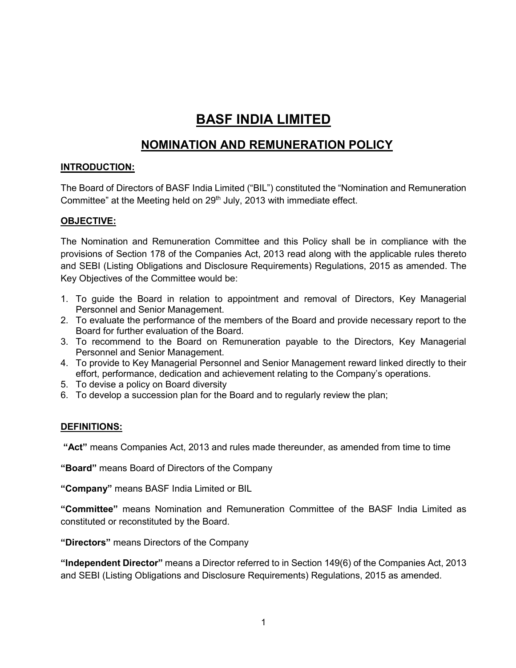# **BASF INDIA LIMITED**

## **NOMINATION AND REMUNERATION POLICY**

### **INTRODUCTION:**

The Board of Directors of BASF India Limited ("BIL") constituted the "Nomination and Remuneration Committee" at the Meeting held on  $29<sup>th</sup>$  July, 2013 with immediate effect.

### **OBJECTIVE:**

The Nomination and Remuneration Committee and this Policy shall be in compliance with the provisions of Section 178 of the Companies Act, 2013 read along with the applicable rules thereto and SEBI (Listing Obligations and Disclosure Requirements) Regulations, 2015 as amended. The Key Objectives of the Committee would be:

- 1. To guide the Board in relation to appointment and removal of Directors, Key Managerial Personnel and Senior Management.
- 2. To evaluate the performance of the members of the Board and provide necessary report to the Board for further evaluation of the Board.
- 3. To recommend to the Board on Remuneration payable to the Directors, Key Managerial Personnel and Senior Management.
- 4. To provide to Key Managerial Personnel and Senior Management reward linked directly to their effort, performance, dedication and achievement relating to the Company's operations.
- 5. To devise a policy on Board diversity
- 6. To develop a succession plan for the Board and to regularly review the plan;

### **DEFINITIONS:**

**"Act"** means Companies Act, 2013 and rules made thereunder, as amended from time to time

**"Board"** means Board of Directors of the Company

**"Company"** means BASF India Limited or BIL

**"Committee"** means Nomination and Remuneration Committee of the BASF India Limited as constituted or reconstituted by the Board.

**"Directors"** means Directors of the Company

**"Independent Director"** means a Director referred to in Section 149(6) of the Companies Act, 2013 and SEBI (Listing Obligations and Disclosure Requirements) Regulations, 2015 as amended.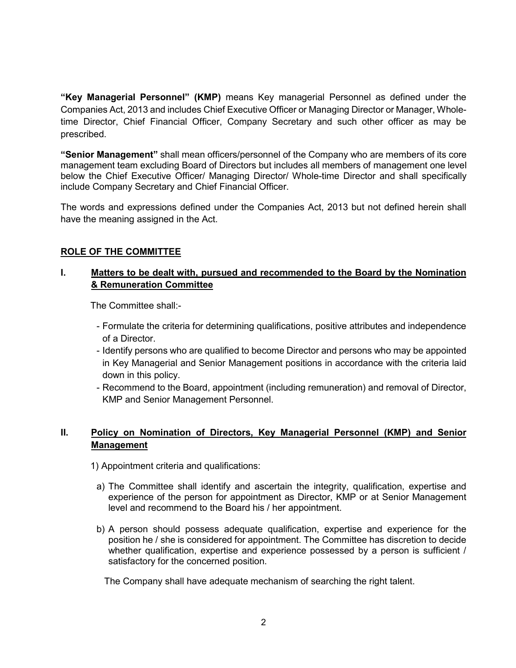**"Key Managerial Personnel" (KMP)** means Key managerial Personnel as defined under the Companies Act, 2013 and includes Chief Executive Officer or Managing Director or Manager, Wholetime Director, Chief Financial Officer, Company Secretary and such other officer as may be prescribed.

**"Senior Management"** shall mean officers/personnel of the Company who are members of its core management team excluding Board of Directors but includes all members of management one level below the Chief Executive Officer/ Managing Director/ Whole-time Director and shall specifically include Company Secretary and Chief Financial Officer.

The words and expressions defined under the Companies Act, 2013 but not defined herein shall have the meaning assigned in the Act.

#### **ROLE OF THE COMMITTEE**

#### **I. Matters to be dealt with, pursued and recommended to the Board by the Nomination & Remuneration Committee**

The Committee shall:-

- Formulate the criteria for determining qualifications, positive attributes and independence of a Director.
- Identify persons who are qualified to become Director and persons who may be appointed in Key Managerial and Senior Management positions in accordance with the criteria laid down in this policy.
- Recommend to the Board, appointment (including remuneration) and removal of Director, KMP and Senior Management Personnel.

### **II. Policy on Nomination of Directors, Key Managerial Personnel (KMP) and Senior Management**

- 1) Appointment criteria and qualifications:
	- a) The Committee shall identify and ascertain the integrity, qualification, expertise and experience of the person for appointment as Director, KMP or at Senior Management level and recommend to the Board his / her appointment.
	- b) A person should possess adequate qualification, expertise and experience for the position he / she is considered for appointment. The Committee has discretion to decide whether qualification, expertise and experience possessed by a person is sufficient / satisfactory for the concerned position.

The Company shall have adequate mechanism of searching the right talent.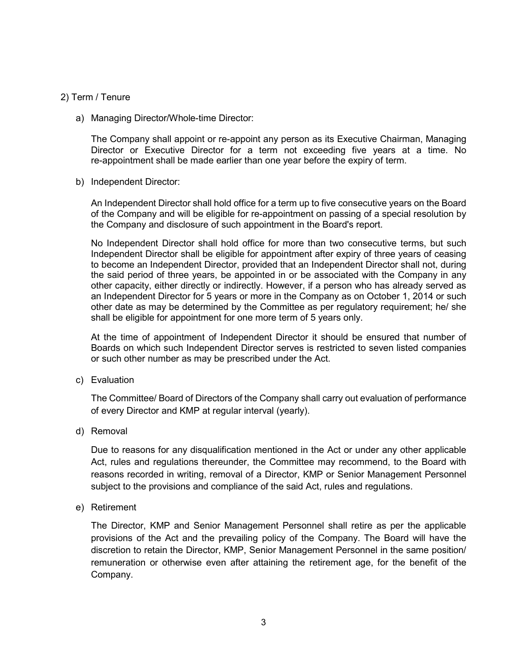#### 2) Term / Tenure

a) Managing Director/Whole-time Director:

The Company shall appoint or re-appoint any person as its Executive Chairman, Managing Director or Executive Director for a term not exceeding five years at a time. No re-appointment shall be made earlier than one year before the expiry of term.

b) Independent Director:

An Independent Director shall hold office for a term up to five consecutive years on the Board of the Company and will be eligible for re-appointment on passing of a special resolution by the Company and disclosure of such appointment in the Board's report.

No Independent Director shall hold office for more than two consecutive terms, but such Independent Director shall be eligible for appointment after expiry of three years of ceasing to become an Independent Director, provided that an Independent Director shall not, during the said period of three years, be appointed in or be associated with the Company in any other capacity, either directly or indirectly. However, if a person who has already served as an Independent Director for 5 years or more in the Company as on October 1, 2014 or such other date as may be determined by the Committee as per regulatory requirement; he/ she shall be eligible for appointment for one more term of 5 years only.

At the time of appointment of Independent Director it should be ensured that number of Boards on which such Independent Director serves is restricted to seven listed companies or such other number as may be prescribed under the Act.

c) Evaluation

The Committee/ Board of Directors of the Company shall carry out evaluation of performance of every Director and KMP at regular interval (yearly).

d) Removal

Due to reasons for any disqualification mentioned in the Act or under any other applicable Act, rules and regulations thereunder, the Committee may recommend, to the Board with reasons recorded in writing, removal of a Director, KMP or Senior Management Personnel subject to the provisions and compliance of the said Act, rules and regulations.

e) Retirement

The Director, KMP and Senior Management Personnel shall retire as per the applicable provisions of the Act and the prevailing policy of the Company. The Board will have the discretion to retain the Director, KMP, Senior Management Personnel in the same position/ remuneration or otherwise even after attaining the retirement age, for the benefit of the Company.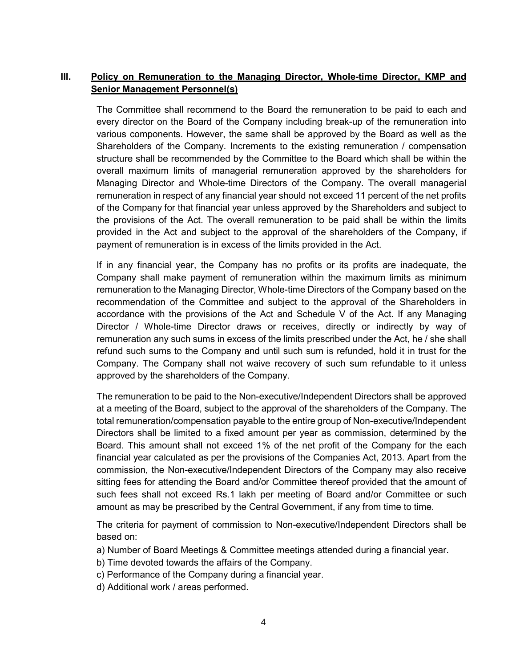## **III. Policy on Remuneration to the Managing Director, Whole-time Director, KMP and Senior Management Personnel(s)**

The Committee shall recommend to the Board the remuneration to be paid to each and every director on the Board of the Company including break-up of the remuneration into various components. However, the same shall be approved by the Board as well as the Shareholders of the Company. Increments to the existing remuneration / compensation structure shall be recommended by the Committee to the Board which shall be within the overall maximum limits of managerial remuneration approved by the shareholders for Managing Director and Whole-time Directors of the Company. The overall managerial remuneration in respect of any financial year should not exceed 11 percent of the net profits of the Company for that financial year unless approved by the Shareholders and subject to the provisions of the Act. The overall remuneration to be paid shall be within the limits provided in the Act and subject to the approval of the shareholders of the Company, if payment of remuneration is in excess of the limits provided in the Act.

If in any financial year, the Company has no profits or its profits are inadequate, the Company shall make payment of remuneration within the maximum limits as minimum remuneration to the Managing Director, Whole-time Directors of the Company based on the recommendation of the Committee and subject to the approval of the Shareholders in accordance with the provisions of the Act and Schedule V of the Act. If any Managing Director / Whole-time Director draws or receives, directly or indirectly by way of remuneration any such sums in excess of the limits prescribed under the Act, he / she shall refund such sums to the Company and until such sum is refunded, hold it in trust for the Company. The Company shall not waive recovery of such sum refundable to it unless approved by the shareholders of the Company.

The remuneration to be paid to the Non-executive/Independent Directors shall be approved at a meeting of the Board, subject to the approval of the shareholders of the Company. The total remuneration/compensation payable to the entire group of Non-executive/Independent Directors shall be limited to a fixed amount per year as commission, determined by the Board. This amount shall not exceed 1% of the net profit of the Company for the each financial year calculated as per the provisions of the Companies Act, 2013. Apart from the commission, the Non-executive/Independent Directors of the Company may also receive sitting fees for attending the Board and/or Committee thereof provided that the amount of such fees shall not exceed Rs.1 lakh per meeting of Board and/or Committee or such amount as may be prescribed by the Central Government, if any from time to time.

The criteria for payment of commission to Non-executive/Independent Directors shall be based on:

- a) Number of Board Meetings & Committee meetings attended during a financial year.
- b) Time devoted towards the affairs of the Company.
- c) Performance of the Company during a financial year.
- d) Additional work / areas performed.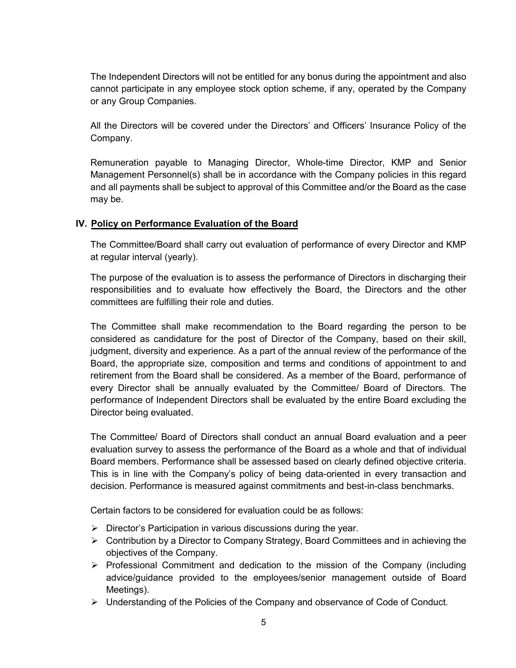The Independent Directors will not be entitled for any bonus during the appointment and also cannot participate in any employee stock option scheme, if any, operated by the Company or any Group Companies.

All the Directors will be covered under the Directors' and Officers' Insurance Policy of the Company.

Remuneration payable to Managing Director, Whole-time Director, KMP and Senior Management Personnel(s) shall be in accordance with the Company policies in this regard and all payments shall be subject to approval of this Committee and/or the Board as the case may be.

#### **IV. Policy on Performance Evaluation of the Board**

The Committee/Board shall carry out evaluation of performance of every Director and KMP at regular interval (yearly).

The purpose of the evaluation is to assess the performance of Directors in discharging their responsibilities and to evaluate how effectively the Board, the Directors and the other committees are fulfilling their role and duties.

The Committee shall make recommendation to the Board regarding the person to be considered as candidature for the post of Director of the Company, based on their skill, judgment, diversity and experience. As a part of the annual review of the performance of the Board, the appropriate size, composition and terms and conditions of appointment to and retirement from the Board shall be considered. As a member of the Board, performance of every Director shall be annually evaluated by the Committee/ Board of Directors. The performance of Independent Directors shall be evaluated by the entire Board excluding the Director being evaluated.

The Committee/ Board of Directors shall conduct an annual Board evaluation and a peer evaluation survey to assess the performance of the Board as a whole and that of individual Board members. Performance shall be assessed based on clearly defined objective criteria. This is in line with the Company's policy of being data-oriented in every transaction and decision. Performance is measured against commitments and best-in-class benchmarks.

Certain factors to be considered for evaluation could be as follows:

- $\triangleright$  Director's Participation in various discussions during the year.
- $\triangleright$  Contribution by a Director to Company Strategy, Board Committees and in achieving the objectives of the Company.
- $\triangleright$  Professional Commitment and dedication to the mission of the Company (including advice/guidance provided to the employees/senior management outside of Board Meetings).
- Understanding of the Policies of the Company and observance of Code of Conduct.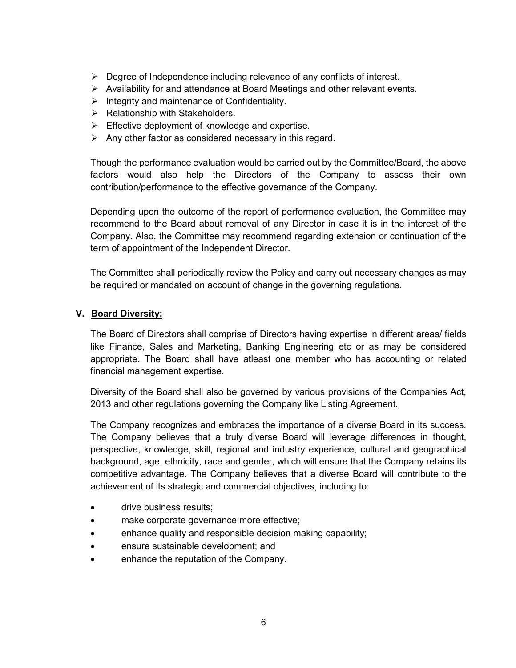- $\triangleright$  Degree of Independence including relevance of any conflicts of interest.
- $\triangleright$  Availability for and attendance at Board Meetings and other relevant events.
- $\triangleright$  Integrity and maintenance of Confidentiality.
- $\triangleright$  Relationship with Stakeholders.
- $\triangleright$  Effective deployment of knowledge and expertise.
- $\triangleright$  Any other factor as considered necessary in this regard.

Though the performance evaluation would be carried out by the Committee/Board, the above factors would also help the Directors of the Company to assess their own contribution/performance to the effective governance of the Company.

Depending upon the outcome of the report of performance evaluation, the Committee may recommend to the Board about removal of any Director in case it is in the interest of the Company. Also, the Committee may recommend regarding extension or continuation of the term of appointment of the Independent Director.

The Committee shall periodically review the Policy and carry out necessary changes as may be required or mandated on account of change in the governing regulations.

#### **V. Board Diversity:**

The Board of Directors shall comprise of Directors having expertise in different areas/ fields like Finance, Sales and Marketing, Banking Engineering etc or as may be considered appropriate. The Board shall have atleast one member who has accounting or related financial management expertise.

Diversity of the Board shall also be governed by various provisions of the Companies Act, 2013 and other regulations governing the Company like Listing Agreement.

The Company recognizes and embraces the importance of a diverse Board in its success. The Company believes that a truly diverse Board will leverage differences in thought, perspective, knowledge, skill, regional and industry experience, cultural and geographical background, age, ethnicity, race and gender, which will ensure that the Company retains its competitive advantage. The Company believes that a diverse Board will contribute to the achievement of its strategic and commercial objectives, including to:

- drive business results:
- make corporate governance more effective;
- enhance quality and responsible decision making capability;
- ensure sustainable development; and
- enhance the reputation of the Company.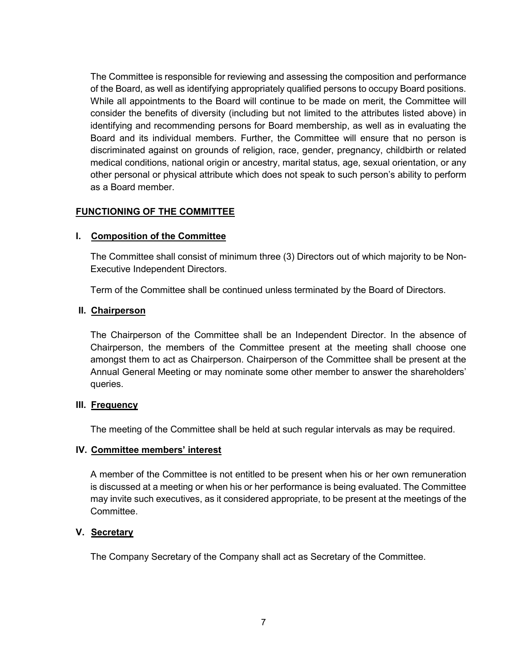The Committee is responsible for reviewing and assessing the composition and performance of the Board, as well as identifying appropriately qualified persons to occupy Board positions. While all appointments to the Board will continue to be made on merit, the Committee will consider the benefits of diversity (including but not limited to the attributes listed above) in identifying and recommending persons for Board membership, as well as in evaluating the Board and its individual members. Further, the Committee will ensure that no person is discriminated against on grounds of religion, race, gender, pregnancy, childbirth or related medical conditions, national origin or ancestry, marital status, age, sexual orientation, or any other personal or physical attribute which does not speak to such person's ability to perform as a Board member.

#### **FUNCTIONING OF THE COMMITTEE**

#### **I. Composition of the Committee**

The Committee shall consist of minimum three (3) Directors out of which majority to be Non-Executive Independent Directors.

Term of the Committee shall be continued unless terminated by the Board of Directors.

#### **II. Chairperson**

The Chairperson of the Committee shall be an Independent Director. In the absence of Chairperson, the members of the Committee present at the meeting shall choose one amongst them to act as Chairperson. Chairperson of the Committee shall be present at the Annual General Meeting or may nominate some other member to answer the shareholders' queries.

#### **III. Frequency**

The meeting of the Committee shall be held at such regular intervals as may be required.

#### **IV. Committee members' interest**

A member of the Committee is not entitled to be present when his or her own remuneration is discussed at a meeting or when his or her performance is being evaluated. The Committee may invite such executives, as it considered appropriate, to be present at the meetings of the Committee.

#### **V. Secretary**

The Company Secretary of the Company shall act as Secretary of the Committee.